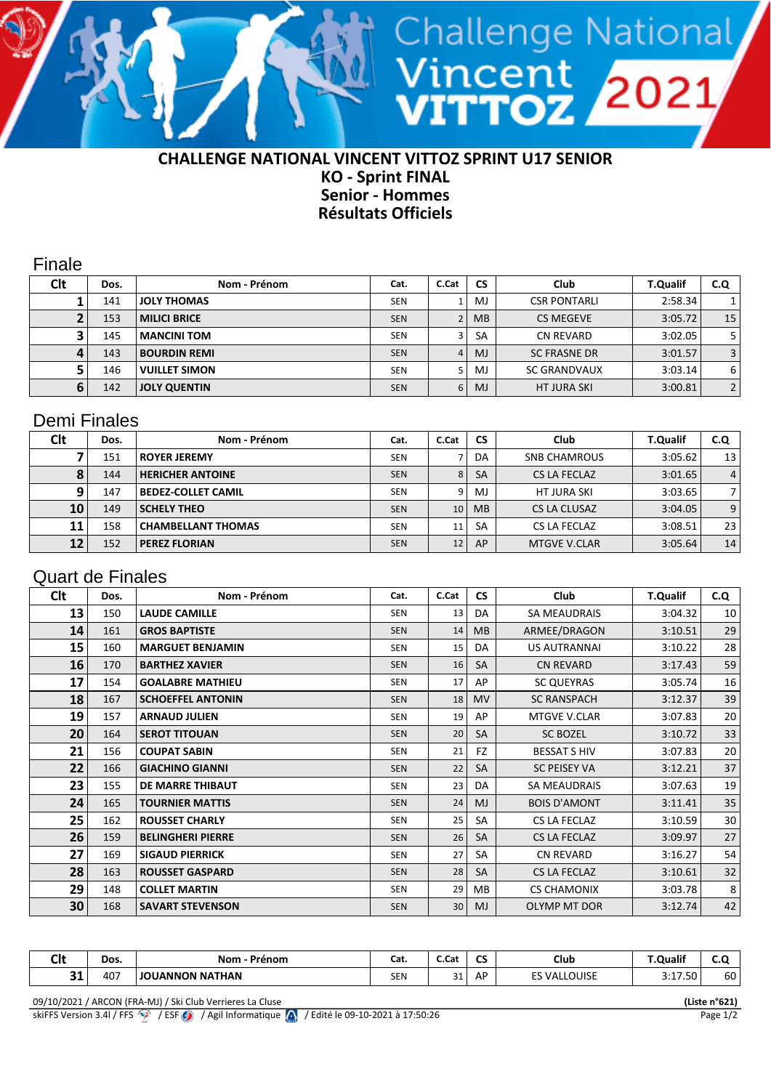## **CHALLENGE NATIONAL VINCENT VITTOZ SPRINT U17 SENIOR KO - Sprint FINAL Senior - Hommes Résultats Officiels**

<sup>Vincent</sup> 2021<br>VITTOZ 2021

Finale

| Clt | Dos. | Nom - Prénom         | Cat.       | C.Cat | <b>CS</b> | Club                | <b>T.Qualif</b> | C.Q |
|-----|------|----------------------|------------|-------|-----------|---------------------|-----------------|-----|
|     | 141  | <b>JOLY THOMAS</b>   | <b>SEN</b> |       | MJ        | <b>CSR PONTARLI</b> | 2:58.34         |     |
|     | 153  | <b>MILICI BRICE</b>  | <b>SEN</b> |       | <b>MB</b> | <b>CS MEGEVE</b>    | 3:05.72         | 15  |
|     | 145  | <b>MANCINI TOM</b>   | <b>SEN</b> |       | <b>SA</b> | CN REVARD           | 3:02.05         | 5.  |
|     | 143  | <b>BOURDIN REMI</b>  | <b>SEN</b> | 4     | MJ        | <b>SC FRASNE DR</b> | 3:01.57         | 3   |
|     | 146  | <b>VUILLET SIMON</b> | <b>SEN</b> |       | MJ        | <b>SC GRANDVAUX</b> | 3:03.14         | 6   |
|     | 142  | <b>JOLY QUENTIN</b>  | <b>SEN</b> | 6     | MJ        | <b>HT JURA SKI</b>  | 3:00.81         | 2   |

## Demi Finales

| Clt       | Dos. | Nom - Prénom              | Cat.       | C.Cat           | <b>CS</b> | Club                | <b>T.Qualif</b> | C.Q            |
|-----------|------|---------------------------|------------|-----------------|-----------|---------------------|-----------------|----------------|
|           | 151  | <b>ROYER JEREMY</b>       | <b>SEN</b> |                 | DA        | <b>SNB CHAMROUS</b> | 3:05.62         | 13             |
| $\bullet$ | 144  | <b>HERICHER ANTOINE</b>   | <b>SEN</b> | 8               | <b>SA</b> | CS LA FECLAZ        | 3:01.65         | $\overline{4}$ |
|           | 147  | <b>BEDEZ-COLLET CAMIL</b> | <b>SEN</b> | 9               | M.        | HT JURA SKI         | 3:03.65         |                |
| 10        | 149  | <b>SCHELY THEO</b>        | <b>SEN</b> | 10 <sup>1</sup> | <b>MB</b> | CS LA CLUSAZ        | 3:04.05         | 9              |
| 11        | 158  | <b>CHAMBELLANT THOMAS</b> | <b>SEN</b> | 11              | <b>SA</b> | CS LA FECLAZ        | 3:08.51         | 23             |
| 12        | 152  | <b>PEREZ FLORIAN</b>      | <b>SEN</b> | 12              | AP        | MTGVE V.CLAR        | 3:05.64         | 14             |

## Quart de Finales

| <b>Clt</b> | Dos. | Nom - Prénom             | Cat.       | C.Cat           | <b>CS</b> | Club                | <b>T.Qualif</b> | C.Q |
|------------|------|--------------------------|------------|-----------------|-----------|---------------------|-----------------|-----|
| 13         | 150  | <b>LAUDE CAMILLE</b>     | <b>SEN</b> | 13              | DA        | <b>SA MEAUDRAIS</b> | 3:04.32         | 10  |
| 14         | 161  | <b>GROS BAPTISTE</b>     | <b>SEN</b> | 14              | <b>MB</b> | ARMEE/DRAGON        | 3:10.51         | 29  |
| 15         | 160  | <b>MARGUET BENJAMIN</b>  | <b>SEN</b> | 15              | DA        | <b>US AUTRANNAI</b> | 3:10.22         | 28  |
| 16         | 170  | <b>BARTHEZ XAVIER</b>    | <b>SEN</b> | 16              | SA        | <b>CN REVARD</b>    | 3:17.43         | 59  |
| 17         | 154  | <b>GOALABRE MATHIEU</b>  | <b>SEN</b> | 17              | AP        | <b>SC QUEYRAS</b>   | 3:05.74         | 16  |
| 18         | 167  | <b>SCHOEFFEL ANTONIN</b> | <b>SEN</b> | 18              | <b>MV</b> | <b>SC RANSPACH</b>  | 3:12.37         | 39  |
| 19         | 157  | <b>ARNAUD JULIEN</b>     | <b>SEN</b> | 19              | AP        | <b>MTGVE V.CLAR</b> | 3:07.83         | 20  |
| 20         | 164  | <b>SEROT TITOUAN</b>     | <b>SEN</b> | 20              | <b>SA</b> | <b>SC BOZEL</b>     | 3:10.72         | 33  |
| 21         | 156  | <b>COUPAT SABIN</b>      | <b>SEN</b> | 21              | <b>FZ</b> | <b>BESSAT S HIV</b> | 3:07.83         | 20  |
| 22         | 166  | <b>GIACHINO GIANNI</b>   | <b>SEN</b> | 22              | <b>SA</b> | <b>SC PEISEY VA</b> | 3:12.21         | 37  |
| 23         | 155  | DE MARRE THIBAUT         | <b>SEN</b> | 23              | DA        | SA MEAUDRAIS        | 3:07.63         | 19  |
| 24         | 165  | <b>TOURNIER MATTIS</b>   | <b>SEN</b> | 24              | MJ        | <b>BOIS D'AMONT</b> | 3:11.41         | 35  |
| 25         | 162  | <b>ROUSSET CHARLY</b>    | <b>SEN</b> | 25              | SA        | CS LA FECLAZ        | 3:10.59         | 30  |
| 26         | 159  | <b>BELINGHERI PIERRE</b> | <b>SEN</b> | 26              | <b>SA</b> | <b>CS LA FECLAZ</b> | 3:09.97         | 27  |
| 27         | 169  | <b>SIGAUD PIERRICK</b>   | <b>SEN</b> | 27              | SA        | <b>CN REVARD</b>    | 3:16.27         | 54  |
| 28         | 163  | <b>ROUSSET GASPARD</b>   | <b>SEN</b> | 28              | <b>SA</b> | <b>CS LA FECLAZ</b> | 3:10.61         | 32  |
| 29         | 148  | <b>COLLET MARTIN</b>     | SEN        | 29              | MВ        | <b>CS CHAMONIX</b>  | 3:03.78         | 8   |
| 30         | 168  | <b>SAVART STEVENSON</b>  | <b>SEN</b> | 30 <sup>°</sup> | MJ        | OLYMP MT DOR        | 3:12.74         | 42  |

| CH.<br>◡╹    | Dos.          | Nom<br>.<br>п.                     | Cat.<br>$  -$                   | <b>r</b> ~<br>J.Jai | $\sim$<br>ີ | Club<br>$  -$                               | 1.21<br>_<br>uan<br>$\sim$ $\sim$    |    |
|--------------|---------------|------------------------------------|---------------------------------|---------------------|-------------|---------------------------------------------|--------------------------------------|----|
| $\sim$<br>-- | 407<br>$\sim$ | <b>ITHAN</b><br>. IANNI C<br>NN NA | $- - -$<br><b>SEN</b><br>$\sim$ | 21<br>эı            | ΑF          | OUISE<br><u>ыл</u><br>$\sim$<br>$-$<br>$ -$ | $\Gamma$<br>$\sim$ $\sim$<br>3:17.50 | 60 |